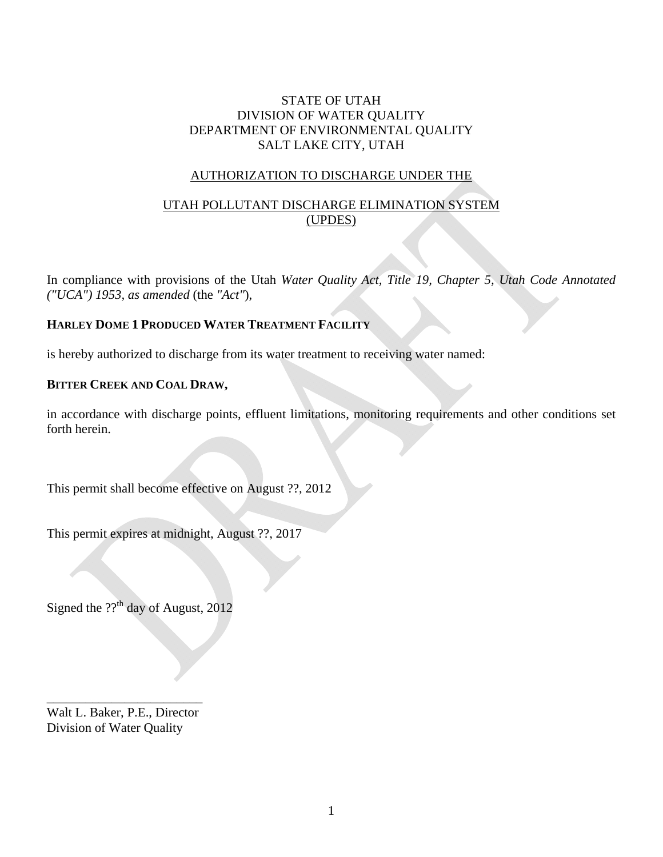## STATE OF UTAH DIVISION OF WATER QUALITY DEPARTMENT OF ENVIRONMENTAL QUALITY SALT LAKE CITY, UTAH

## AUTHORIZATION TO DISCHARGE UNDER THE

# UTAH POLLUTANT DISCHARGE ELIMINATION SYSTEM (UPDES)

In compliance with provisions of the Utah *Water Quality Act, Title 19, Chapter 5, Utah Code Annotated ("UCA") 1953, as amended* (the *"Act"*),

## **HARLEY DOME 1 PRODUCED WATER TREATMENT FACILITY**

is hereby authorized to discharge from its water treatment to receiving water named:

## **BITTER CREEK AND COAL DRAW,**

in accordance with discharge points, effluent limitations, monitoring requirements and other conditions set forth herein.

This permit shall become effective on August ??, 2012

This permit expires at midnight, August ??, 2017

Signed the  $??$ <sup>th</sup> day of August, 2012

\_\_\_\_\_\_\_\_\_\_\_\_\_\_\_\_\_\_\_\_\_\_\_\_ Walt L. Baker, P.E., Director Division of Water Quality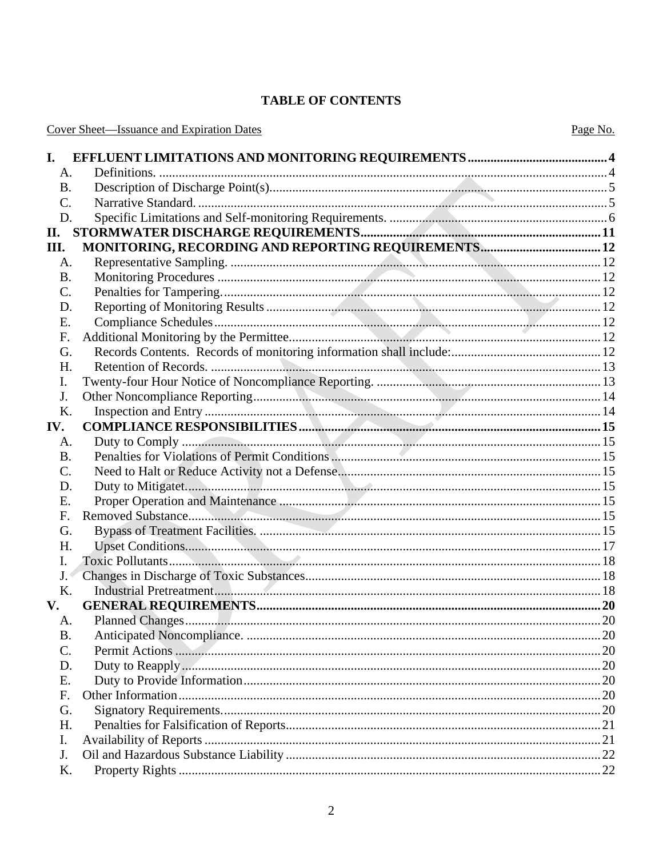# **TABLE OF CONTENTS**

|  | <b>Cover Sheet—Issuance and Expiration Dates</b> |  |  |
|--|--------------------------------------------------|--|--|
|  |                                                  |  |  |

| I.             |                                                     |  |
|----------------|-----------------------------------------------------|--|
| A.             |                                                     |  |
| Β.             |                                                     |  |
| C.             |                                                     |  |
| D.             |                                                     |  |
| II.            |                                                     |  |
| Ш.             | MONITORING, RECORDING AND REPORTING REQUIREMENTS 12 |  |
| А.             |                                                     |  |
| <b>B.</b>      |                                                     |  |
| $\mathsf{C}$ . |                                                     |  |
| D.             |                                                     |  |
| Ε.             |                                                     |  |
| F.             |                                                     |  |
| G.             |                                                     |  |
| Н.             |                                                     |  |
| I.             |                                                     |  |
| J.             |                                                     |  |
| K.             |                                                     |  |
| IV.            |                                                     |  |
| A.             |                                                     |  |
| <b>B.</b>      |                                                     |  |
| C.             |                                                     |  |
| D.             |                                                     |  |
| Ε.             |                                                     |  |
| F.             |                                                     |  |
| G.             |                                                     |  |
| Η.             |                                                     |  |
| I.             |                                                     |  |
| J.             |                                                     |  |
| Κ.             |                                                     |  |
| $V_{\bullet}$  |                                                     |  |
| A.             |                                                     |  |
| <b>B.</b>      |                                                     |  |
| C.             |                                                     |  |
| D.             |                                                     |  |
| Ε.             |                                                     |  |
| F.             |                                                     |  |
| G.             |                                                     |  |
| H.             |                                                     |  |
| I.             |                                                     |  |
| J.             |                                                     |  |
| Κ.             |                                                     |  |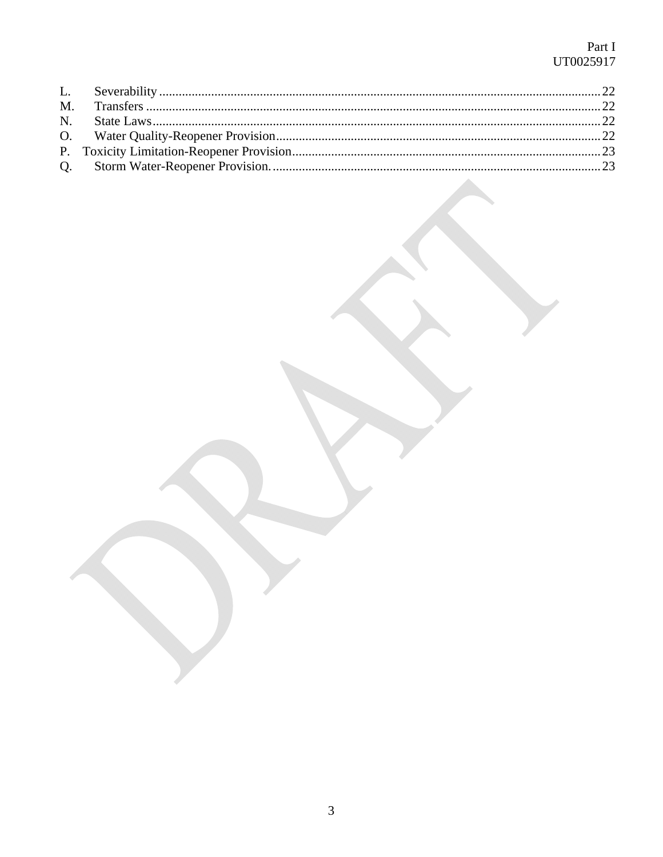# Part I<br>UT0025917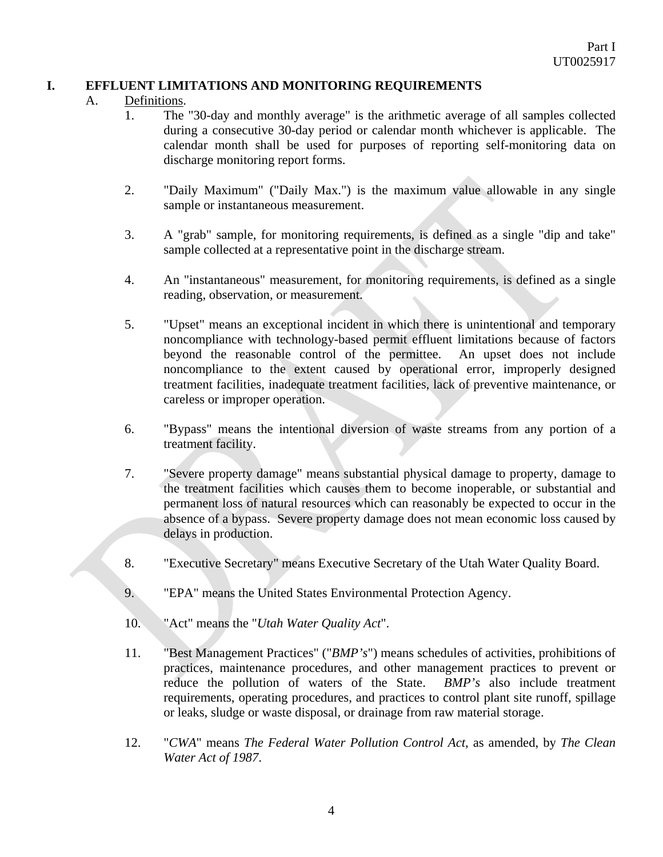## **I. EFFLUENT LIMITATIONS AND MONITORING REQUIREMENTS**

### A. Definitions.

- 1. The "30-day and monthly average" is the arithmetic average of all samples collected during a consecutive 30-day period or calendar month whichever is applicable. The calendar month shall be used for purposes of reporting self-monitoring data on discharge monitoring report forms.
- 2. "Daily Maximum" ("Daily Max.") is the maximum value allowable in any single sample or instantaneous measurement.
- 3. A "grab" sample, for monitoring requirements, is defined as a single "dip and take" sample collected at a representative point in the discharge stream.
- 4. An "instantaneous" measurement, for monitoring requirements, is defined as a single reading, observation, or measurement.
- 5. "Upset" means an exceptional incident in which there is unintentional and temporary noncompliance with technology-based permit effluent limitations because of factors beyond the reasonable control of the permittee. An upset does not include noncompliance to the extent caused by operational error, improperly designed treatment facilities, inadequate treatment facilities, lack of preventive maintenance, or careless or improper operation.
- 6. "Bypass" means the intentional diversion of waste streams from any portion of a treatment facility.
- 7. "Severe property damage" means substantial physical damage to property, damage to the treatment facilities which causes them to become inoperable, or substantial and permanent loss of natural resources which can reasonably be expected to occur in the absence of a bypass. Severe property damage does not mean economic loss caused by delays in production.
- 8. "Executive Secretary" means Executive Secretary of the Utah Water Quality Board.
- 9. "EPA" means the United States Environmental Protection Agency.
- 10. "Act" means the "*Utah Water Quality Act*".
- 11. "Best Management Practices" ("*BMP's*") means schedules of activities, prohibitions of practices, maintenance procedures, and other management practices to prevent or reduce the pollution of waters of the State. *BMP's* also include treatment requirements, operating procedures, and practices to control plant site runoff, spillage or leaks, sludge or waste disposal, or drainage from raw material storage.
- 12. "*CWA*" means *The Federal Water Pollution Control Act*, as amended, by *The Clean Water Act of 1987*.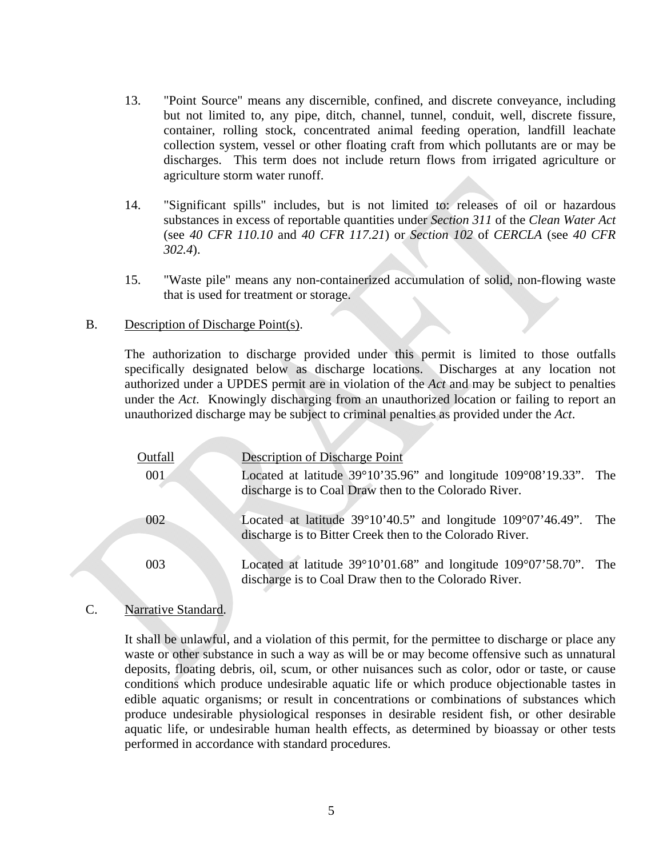- 13. "Point Source" means any discernible, confined, and discrete conveyance, including but not limited to, any pipe, ditch, channel, tunnel, conduit, well, discrete fissure, container, rolling stock, concentrated animal feeding operation, landfill leachate collection system, vessel or other floating craft from which pollutants are or may be discharges. This term does not include return flows from irrigated agriculture or agriculture storm water runoff.
- 14. "Significant spills" includes, but is not limited to: releases of oil or hazardous substances in excess of reportable quantities under *Section 311* of the *Clean Water Act* (see *40 CFR 110.10* and *40 CFR 117.21*) or *Section 102* of *CERCLA* (see *40 CFR 302.4*).
- 15. "Waste pile" means any non-containerized accumulation of solid, non-flowing waste that is used for treatment or storage.

#### B. Description of Discharge Point(s).

 The authorization to discharge provided under this permit is limited to those outfalls specifically designated below as discharge locations. Discharges at any location not authorized under a UPDES permit are in violation of the *Act* and may be subject to penalties under the *Act*. Knowingly discharging from an unauthorized location or failing to report an unauthorized discharge may be subject to criminal penalties as provided under the *Act*.

| Outfall | Description of Discharge Point                                                                                                                  |  |
|---------|-------------------------------------------------------------------------------------------------------------------------------------------------|--|
| 001     | Located at latitude $39^{\circ}10'35.96"$ and longitude $109^{\circ}08'19.33"$ . The                                                            |  |
|         | discharge is to Coal Draw then to the Colorado River.                                                                                           |  |
| 002     | Located at latitude $39^{\circ}10'40.5"$ and longitude $109^{\circ}07'46.49"$ . The<br>discharge is to Bitter Creek then to the Colorado River. |  |
|         |                                                                                                                                                 |  |
| 003     | Located at latitude $39^{\circ}10'01.68"$ and longitude $109^{\circ}07'58.70"$ . The<br>discharge is to Coal Draw then to the Colorado River.   |  |

## C. Narrative Standard.

 It shall be unlawful, and a violation of this permit, for the permittee to discharge or place any waste or other substance in such a way as will be or may become offensive such as unnatural deposits, floating debris, oil, scum, or other nuisances such as color, odor or taste, or cause conditions which produce undesirable aquatic life or which produce objectionable tastes in edible aquatic organisms; or result in concentrations or combinations of substances which produce undesirable physiological responses in desirable resident fish, or other desirable aquatic life, or undesirable human health effects, as determined by bioassay or other tests performed in accordance with standard procedures.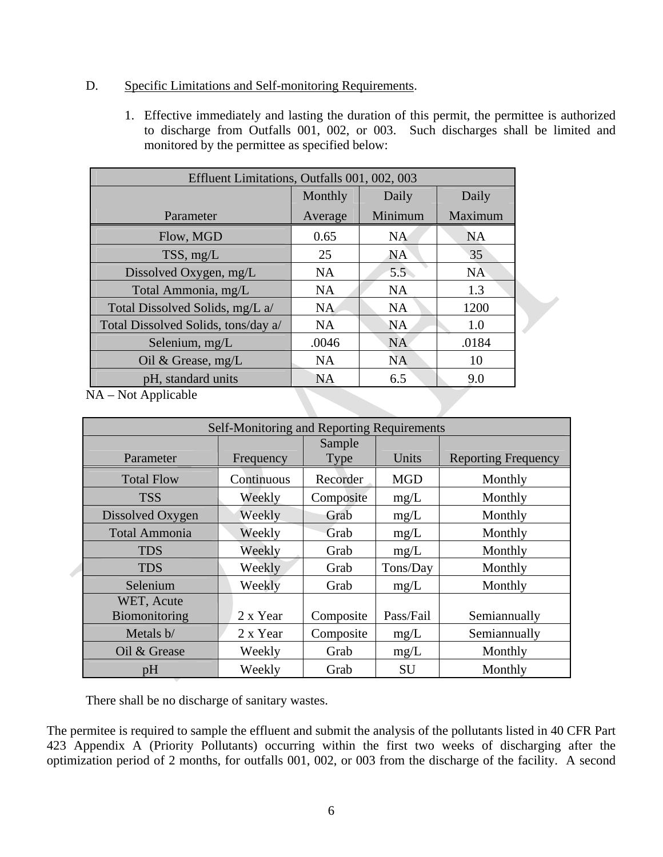## D. Specific Limitations and Self-monitoring Requirements.

1. Effective immediately and lasting the duration of this permit, the permittee is authorized to discharge from Outfalls 001, 002, or 003. Such discharges shall be limited and monitored by the permittee as specified below:

| Effluent Limitations, Outfalls 001, 002, 003 |           |           |           |  |
|----------------------------------------------|-----------|-----------|-----------|--|
|                                              | Monthly   | Daily     | Daily     |  |
| Parameter                                    | Average   | Minimum   | Maximum   |  |
| Flow, MGD                                    | 0.65      | <b>NA</b> | <b>NA</b> |  |
| TSS, mg/L                                    | 25        | <b>NA</b> | 35        |  |
| Dissolved Oxygen, mg/L                       | <b>NA</b> | 5.5       | <b>NA</b> |  |
| Total Ammonia, mg/L                          | <b>NA</b> | <b>NA</b> | 1.3       |  |
| Total Dissolved Solids, mg/L a/              | <b>NA</b> | <b>NA</b> | 1200      |  |
| Total Dissolved Solids, tons/day a/          | <b>NA</b> | <b>NA</b> | 1.0       |  |
| Selenium, $mg/L$                             | .0046     | <b>NA</b> | .0184     |  |
| Oil & Grease, $mg/L$                         | <b>NA</b> | <b>NA</b> | 10        |  |
| pH, standard units                           | <b>NA</b> | 6.5       | 9.0       |  |

NA – Not Applicable

| Self-Monitoring and Reporting Requirements |            |           |            |                            |
|--------------------------------------------|------------|-----------|------------|----------------------------|
|                                            |            | Sample    |            |                            |
| Parameter                                  | Frequency  | Type      | Units      | <b>Reporting Frequency</b> |
| <b>Total Flow</b>                          | Continuous | Recorder  | <b>MGD</b> | Monthly                    |
| <b>TSS</b>                                 | Weekly     | Composite | mg/L       | Monthly                    |
| Dissolved Oxygen                           | Weekly     | Grab      | mg/L       | Monthly                    |
| <b>Total Ammonia</b>                       | Weekly     | Grab      | mg/L       | Monthly                    |
| <b>TDS</b>                                 | Weekly     | Grab      | mg/L       | Monthly                    |
| <b>TDS</b>                                 | Weekly     | Grab      | Tons/Day   | Monthly                    |
| Selenium                                   | Weekly     | Grab      | mg/L       | Monthly                    |
| WET, Acute                                 |            |           |            |                            |
| Biomonitoring                              | 2 x Year   | Composite | Pass/Fail  | Semiannually               |
| Metals b/                                  | 2 x Year   | Composite | mg/L       | Semiannually               |
| Oil & Grease                               | Weekly     | Grab      | mg/L       | Monthly                    |
| pH                                         | Weekly     | Grab      | <b>SU</b>  | Monthly                    |

There shall be no discharge of sanitary wastes.

The permitee is required to sample the effluent and submit the analysis of the pollutants listed in 40 CFR Part 423 Appendix A (Priority Pollutants) occurring within the first two weeks of discharging after the optimization period of 2 months, for outfalls 001, 002, or 003 from the discharge of the facility. A second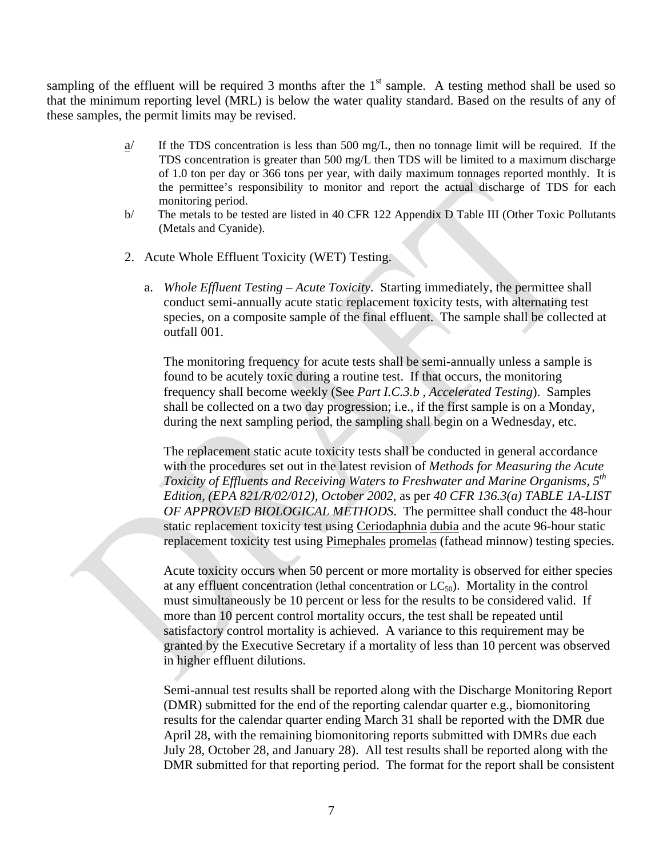sampling of the effluent will be required 3 months after the  $1<sup>st</sup>$  sample. A testing method shall be used so that the minimum reporting level (MRL) is below the water quality standard. Based on the results of any of these samples, the permit limits may be revised.

- $a$ <sup> $\prime$ </sup> If the TDS concentration is less than 500 mg/L, then no tonnage limit will be required. If the TDS concentration is greater than 500 mg/L then TDS will be limited to a maximum discharge of 1.0 ton per day or 366 tons per year, with daily maximum tonnages reported monthly. It is the permittee's responsibility to monitor and report the actual discharge of TDS for each monitoring period.
- b/ The metals to be tested are listed in 40 CFR 122 Appendix D Table III (Other Toxic Pollutants (Metals and Cyanide).
- 2. Acute Whole Effluent Toxicity (WET) Testing.
	- a. *Whole Effluent Testing Acute Toxicity*. Starting immediately, the permittee shall conduct semi-annually acute static replacement toxicity tests, with alternating test species, on a composite sample of the final effluent. The sample shall be collected at outfall 001.

The monitoring frequency for acute tests shall be semi-annually unless a sample is found to be acutely toxic during a routine test. If that occurs, the monitoring frequency shall become weekly (See *Part I.C.3.b , Accelerated Testing*). Samples shall be collected on a two day progression; i.e., if the first sample is on a Monday, during the next sampling period, the sampling shall begin on a Wednesday, etc.

The replacement static acute toxicity tests shall be conducted in general accordance with the procedures set out in the latest revision of *Methods for Measuring the Acute Toxicity of Effluents and Receiving Waters to Freshwater and Marine Organisms, 5th Edition, (EPA 821/R/02/012), October 2002,* as per *40 CFR 136.3(a) TABLE 1A-LIST OF APPROVED BIOLOGICAL METHODS*. The permittee shall conduct the 48-hour static replacement toxicity test using Ceriodaphnia dubia and the acute 96-hour static replacement toxicity test using Pimephales promelas (fathead minnow) testing species.

Acute toxicity occurs when 50 percent or more mortality is observed for either species at any effluent concentration (lethal concentration or  $LC_{50}$ ). Mortality in the control must simultaneously be 10 percent or less for the results to be considered valid. If more than 10 percent control mortality occurs, the test shall be repeated until satisfactory control mortality is achieved. A variance to this requirement may be granted by the Executive Secretary if a mortality of less than 10 percent was observed in higher effluent dilutions.

Semi-annual test results shall be reported along with the Discharge Monitoring Report (DMR) submitted for the end of the reporting calendar quarter e.g., biomonitoring results for the calendar quarter ending March 31 shall be reported with the DMR due April 28, with the remaining biomonitoring reports submitted with DMRs due each July 28, October 28, and January 28). All test results shall be reported along with the DMR submitted for that reporting period. The format for the report shall be consistent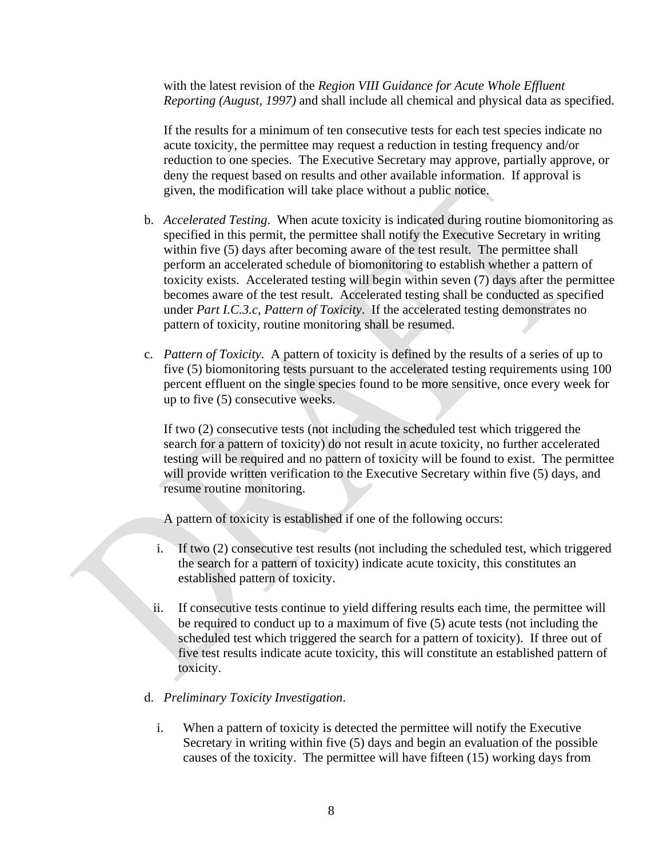with the latest revision of the *Region VIII Guidance for Acute Whole Effluent Reporting (August, 1997)* and shall include all chemical and physical data as specified.

If the results for a minimum of ten consecutive tests for each test species indicate no acute toxicity, the permittee may request a reduction in testing frequency and/or reduction to one species. The Executive Secretary may approve, partially approve, or deny the request based on results and other available information. If approval is given, the modification will take place without a public notice.

- b. *Accelerated Testing*. When acute toxicity is indicated during routine biomonitoring as specified in this permit, the permittee shall notify the Executive Secretary in writing within five (5) days after becoming aware of the test result. The permittee shall perform an accelerated schedule of biomonitoring to establish whether a pattern of toxicity exists. Accelerated testing will begin within seven (7) days after the permittee becomes aware of the test result. Accelerated testing shall be conducted as specified under *Part I.C.3.c, Pattern of Toxicity*. If the accelerated testing demonstrates no pattern of toxicity, routine monitoring shall be resumed.
- c. *Pattern of Toxicity*. A pattern of toxicity is defined by the results of a series of up to five (5) biomonitoring tests pursuant to the accelerated testing requirements using 100 percent effluent on the single species found to be more sensitive, once every week for up to five (5) consecutive weeks.

If two (2) consecutive tests (not including the scheduled test which triggered the search for a pattern of toxicity) do not result in acute toxicity, no further accelerated testing will be required and no pattern of toxicity will be found to exist. The permittee will provide written verification to the Executive Secretary within five (5) days, and resume routine monitoring.

- A pattern of toxicity is established if one of the following occurs:
- i. If two (2) consecutive test results (not including the scheduled test, which triggered the search for a pattern of toxicity) indicate acute toxicity, this constitutes an established pattern of toxicity.
- ii. If consecutive tests continue to yield differing results each time, the permittee will be required to conduct up to a maximum of five (5) acute tests (not including the scheduled test which triggered the search for a pattern of toxicity). If three out of five test results indicate acute toxicity, this will constitute an established pattern of toxicity.
- d. *Preliminary Toxicity Investigation*.
	- i. When a pattern of toxicity is detected the permittee will notify the Executive Secretary in writing within five (5) days and begin an evaluation of the possible causes of the toxicity. The permittee will have fifteen (15) working days from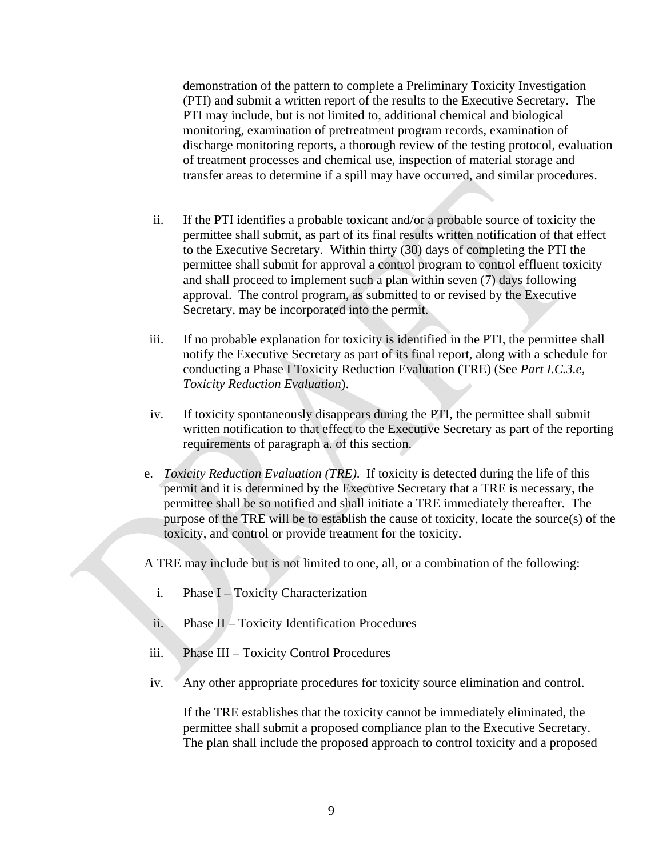demonstration of the pattern to complete a Preliminary Toxicity Investigation (PTI) and submit a written report of the results to the Executive Secretary. The PTI may include, but is not limited to, additional chemical and biological monitoring, examination of pretreatment program records, examination of discharge monitoring reports, a thorough review of the testing protocol, evaluation of treatment processes and chemical use, inspection of material storage and transfer areas to determine if a spill may have occurred, and similar procedures.

- ii. If the PTI identifies a probable toxicant and/or a probable source of toxicity the permittee shall submit, as part of its final results written notification of that effect to the Executive Secretary. Within thirty (30) days of completing the PTI the permittee shall submit for approval a control program to control effluent toxicity and shall proceed to implement such a plan within seven (7) days following approval. The control program, as submitted to or revised by the Executive Secretary, may be incorporated into the permit.
- iii. If no probable explanation for toxicity is identified in the PTI, the permittee shall notify the Executive Secretary as part of its final report, along with a schedule for conducting a Phase I Toxicity Reduction Evaluation (TRE) (See *Part I.C.3.e, Toxicity Reduction Evaluation*).
- iv. If toxicity spontaneously disappears during the PTI, the permittee shall submit written notification to that effect to the Executive Secretary as part of the reporting requirements of paragraph a. of this section.
- e. *Toxicity Reduction Evaluation (TRE)*. If toxicity is detected during the life of this permit and it is determined by the Executive Secretary that a TRE is necessary, the permittee shall be so notified and shall initiate a TRE immediately thereafter. The purpose of the TRE will be to establish the cause of toxicity, locate the source(s) of the toxicity, and control or provide treatment for the toxicity.

A TRE may include but is not limited to one, all, or a combination of the following:

- i. Phase I Toxicity Characterization
- ii. Phase II Toxicity Identification Procedures
- iii. Phase III Toxicity Control Procedures
- iv. Any other appropriate procedures for toxicity source elimination and control.

If the TRE establishes that the toxicity cannot be immediately eliminated, the permittee shall submit a proposed compliance plan to the Executive Secretary. The plan shall include the proposed approach to control toxicity and a proposed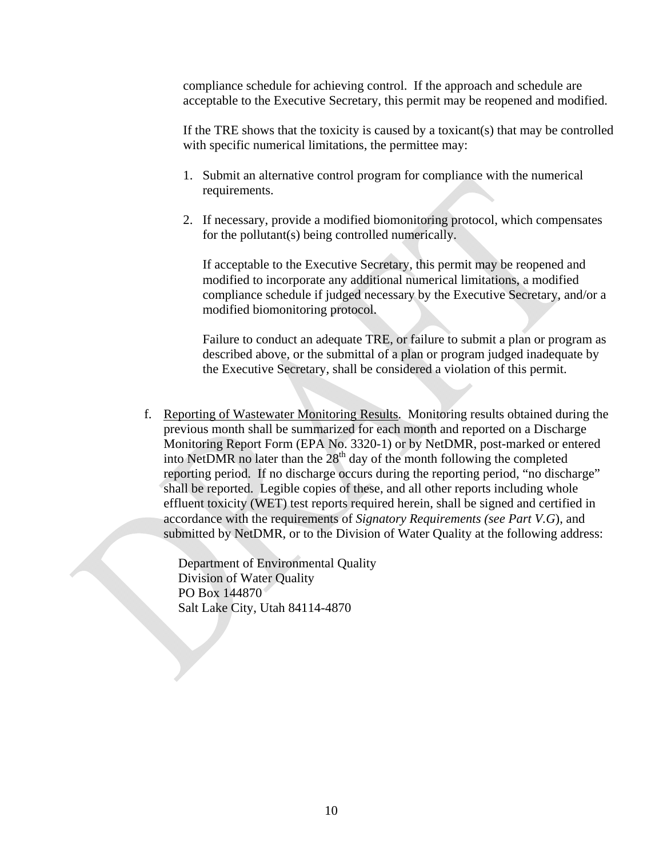compliance schedule for achieving control. If the approach and schedule are acceptable to the Executive Secretary, this permit may be reopened and modified.

If the TRE shows that the toxicity is caused by a toxicant(s) that may be controlled with specific numerical limitations, the permittee may:

- 1. Submit an alternative control program for compliance with the numerical requirements.
- 2. If necessary, provide a modified biomonitoring protocol, which compensates for the pollutant(s) being controlled numerically.

If acceptable to the Executive Secretary, this permit may be reopened and modified to incorporate any additional numerical limitations, a modified compliance schedule if judged necessary by the Executive Secretary, and/or a modified biomonitoring protocol.

Failure to conduct an adequate TRE, or failure to submit a plan or program as described above, or the submittal of a plan or program judged inadequate by the Executive Secretary, shall be considered a violation of this permit.

f. Reporting of Wastewater Monitoring Results. Monitoring results obtained during the previous month shall be summarized for each month and reported on a Discharge Monitoring Report Form (EPA No. 3320-1) or by NetDMR, post-marked or entered into NetDMR no later than the  $28<sup>th</sup>$  day of the month following the completed reporting period. If no discharge occurs during the reporting period, "no discharge" shall be reported. Legible copies of these, and all other reports including whole effluent toxicity (WET) test reports required herein, shall be signed and certified in accordance with the requirements of *Signatory Requirements (see Part V.G*), and submitted by NetDMR, or to the Division of Water Quality at the following address:

Department of Environmental Quality Division of Water Quality PO Box 144870 Salt Lake City, Utah 84114-4870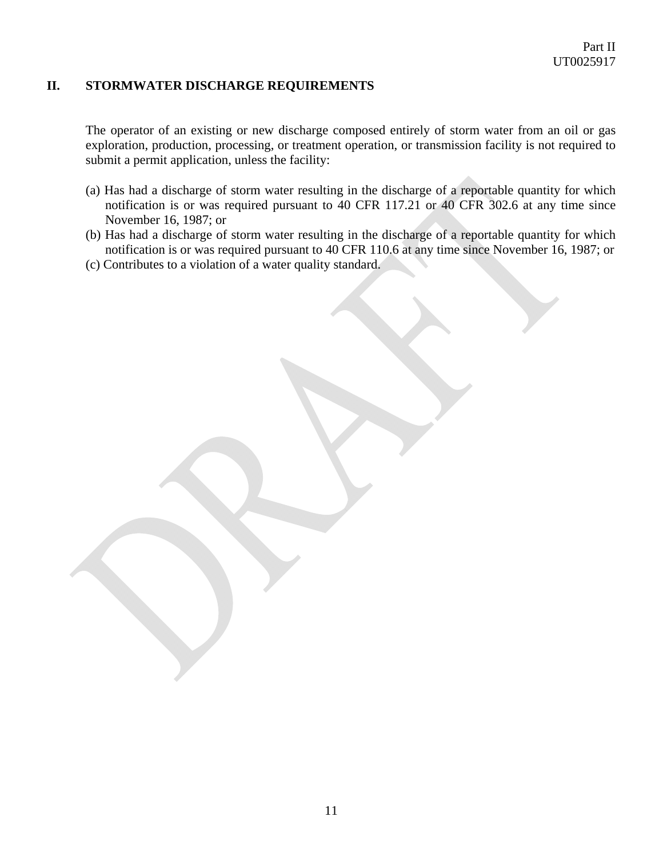## **II. STORMWATER DISCHARGE REQUIREMENTS**

The operator of an existing or new discharge composed entirely of storm water from an oil or gas exploration, production, processing, or treatment operation, or transmission facility is not required to submit a permit application, unless the facility:

- (a) Has had a discharge of storm water resulting in the discharge of a reportable quantity for which notification is or was required pursuant to 40 CFR 117.21 or 40 CFR 302.6 at any time since November 16, 1987; or
- (b) Has had a discharge of storm water resulting in the discharge of a reportable quantity for which notification is or was required pursuant to 40 CFR 110.6 at any time since November 16, 1987; or
- (c) Contributes to a violation of a water quality standard.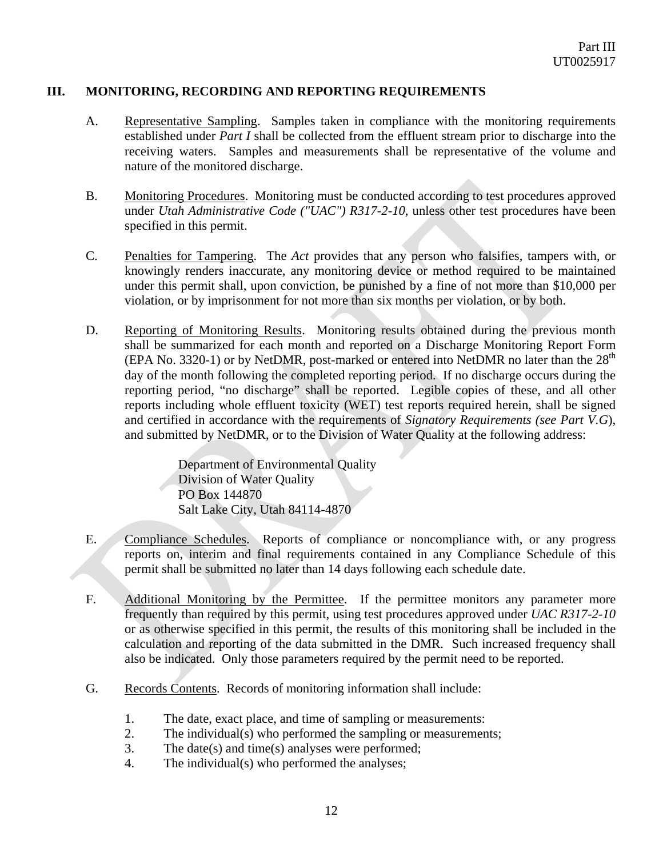## **III. MONITORING, RECORDING AND REPORTING REQUIREMENTS**

- A. Representative Sampling. Samples taken in compliance with the monitoring requirements established under *Part I* shall be collected from the effluent stream prior to discharge into the receiving waters. Samples and measurements shall be representative of the volume and nature of the monitored discharge.
- B. Monitoring Procedures. Monitoring must be conducted according to test procedures approved under *Utah Administrative Code ("UAC") R317-2-10*, unless other test procedures have been specified in this permit.
- C. Penalties for Tampering. The *Act* provides that any person who falsifies, tampers with, or knowingly renders inaccurate, any monitoring device or method required to be maintained under this permit shall, upon conviction, be punished by a fine of not more than \$10,000 per violation, or by imprisonment for not more than six months per violation, or by both.
- D. Reporting of Monitoring Results. Monitoring results obtained during the previous month shall be summarized for each month and reported on a Discharge Monitoring Report Form (EPA No. 3320-1) or by NetDMR, post-marked or entered into NetDMR no later than the  $28<sup>th</sup>$ day of the month following the completed reporting period. If no discharge occurs during the reporting period, "no discharge" shall be reported. Legible copies of these, and all other reports including whole effluent toxicity (WET) test reports required herein, shall be signed and certified in accordance with the requirements of *Signatory Requirements (see Part V.G*), and submitted by NetDMR, or to the Division of Water Quality at the following address:

Department of Environmental Quality Division of Water Quality PO Box 144870 Salt Lake City, Utah 84114-4870

- E. Compliance Schedules. Reports of compliance or noncompliance with, or any progress reports on, interim and final requirements contained in any Compliance Schedule of this permit shall be submitted no later than 14 days following each schedule date.
- F. Additional Monitoring by the Permittee. If the permittee monitors any parameter more frequently than required by this permit, using test procedures approved under *UAC R317-2-10* or as otherwise specified in this permit, the results of this monitoring shall be included in the calculation and reporting of the data submitted in the DMR. Such increased frequency shall also be indicated. Only those parameters required by the permit need to be reported.
- G. Records Contents. Records of monitoring information shall include:
	- 1. The date, exact place, and time of sampling or measurements:
	- 2. The individual(s) who performed the sampling or measurements;
	- 3. The date(s) and time(s) analyses were performed;
	- 4. The individual(s) who performed the analyses;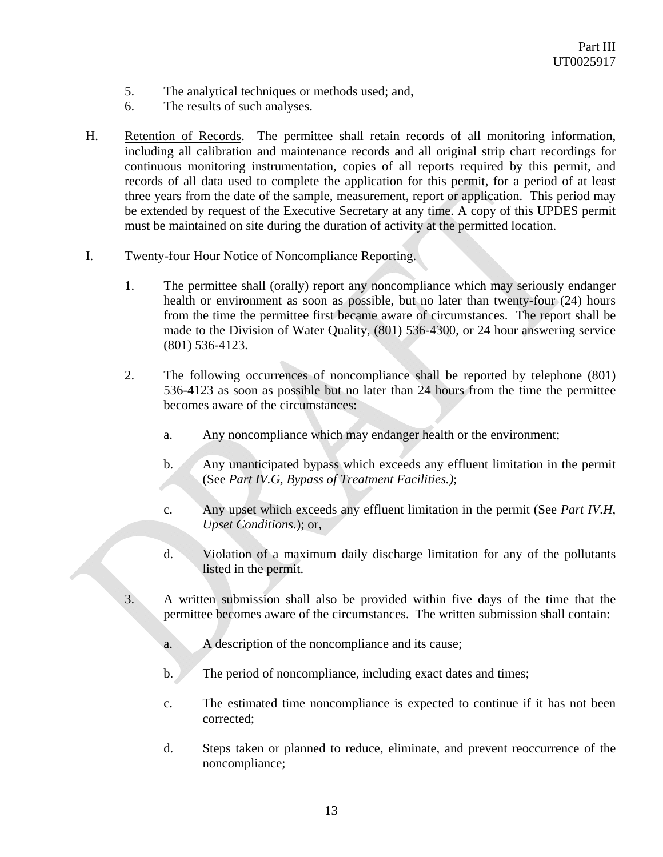- 5. The analytical techniques or methods used; and,
- 6. The results of such analyses.
- H. Retention of Records. The permittee shall retain records of all monitoring information, including all calibration and maintenance records and all original strip chart recordings for continuous monitoring instrumentation, copies of all reports required by this permit, and records of all data used to complete the application for this permit, for a period of at least three years from the date of the sample, measurement, report or application. This period may be extended by request of the Executive Secretary at any time. A copy of this UPDES permit must be maintained on site during the duration of activity at the permitted location.

#### I. Twenty-four Hour Notice of Noncompliance Reporting.

- 1. The permittee shall (orally) report any noncompliance which may seriously endanger health or environment as soon as possible, but no later than twenty-four (24) hours from the time the permittee first became aware of circumstances. The report shall be made to the Division of Water Quality, (801) 536-4300, or 24 hour answering service (801) 536-4123.
- 2. The following occurrences of noncompliance shall be reported by telephone (801) 536-4123 as soon as possible but no later than 24 hours from the time the permittee becomes aware of the circumstances:
	- a. Any noncompliance which may endanger health or the environment;
	- b. Any unanticipated bypass which exceeds any effluent limitation in the permit (See *Part IV.G, Bypass of Treatment Facilities.)*;
	- c. Any upset which exceeds any effluent limitation in the permit (See *Part IV.H*, *Upset Conditions*.); or,
	- d. Violation of a maximum daily discharge limitation for any of the pollutants listed in the permit.
- 3. A written submission shall also be provided within five days of the time that the permittee becomes aware of the circumstances. The written submission shall contain:
	- a. A description of the noncompliance and its cause;
	- b. The period of noncompliance, including exact dates and times;
	- c. The estimated time noncompliance is expected to continue if it has not been corrected;
	- d. Steps taken or planned to reduce, eliminate, and prevent reoccurrence of the noncompliance;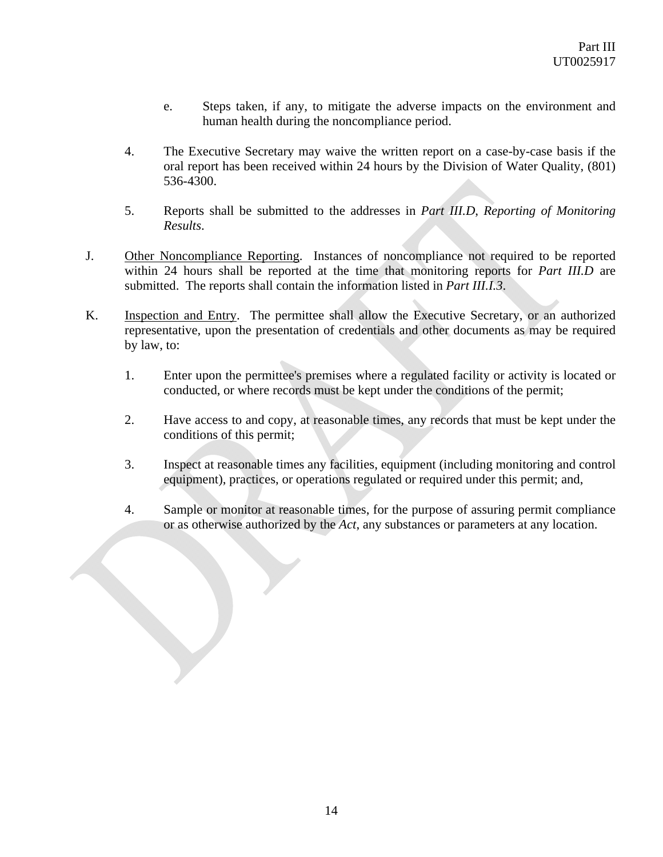- e. Steps taken, if any, to mitigate the adverse impacts on the environment and human health during the noncompliance period.
- 4. The Executive Secretary may waive the written report on a case-by-case basis if the oral report has been received within 24 hours by the Division of Water Quality, (801) 536-4300.
- 5. Reports shall be submitted to the addresses in *Part III.D*, *Reporting of Monitoring Results*.
- J. Other Noncompliance Reporting. Instances of noncompliance not required to be reported within 24 hours shall be reported at the time that monitoring reports for *Part III.D* are submitted. The reports shall contain the information listed in *Part III.I.3*.
- K. Inspection and Entry. The permittee shall allow the Executive Secretary, or an authorized representative, upon the presentation of credentials and other documents as may be required by law, to:
	- 1. Enter upon the permittee's premises where a regulated facility or activity is located or conducted, or where records must be kept under the conditions of the permit;
	- 2. Have access to and copy, at reasonable times, any records that must be kept under the conditions of this permit;
	- 3. Inspect at reasonable times any facilities, equipment (including monitoring and control equipment), practices, or operations regulated or required under this permit; and,
	- 4. Sample or monitor at reasonable times, for the purpose of assuring permit compliance or as otherwise authorized by the *Act*, any substances or parameters at any location.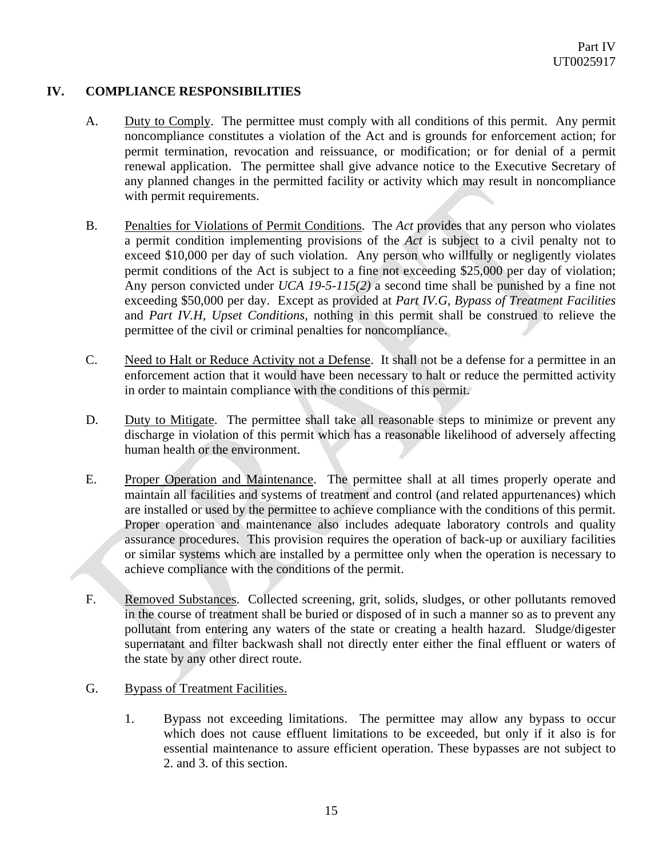# **IV. COMPLIANCE RESPONSIBILITIES**

- A. Duty to Comply. The permittee must comply with all conditions of this permit. Any permit noncompliance constitutes a violation of the Act and is grounds for enforcement action; for permit termination, revocation and reissuance, or modification; or for denial of a permit renewal application. The permittee shall give advance notice to the Executive Secretary of any planned changes in the permitted facility or activity which may result in noncompliance with permit requirements.
- B. Penalties for Violations of Permit Conditions. The *Act* provides that any person who violates a permit condition implementing provisions of the *Act* is subject to a civil penalty not to exceed \$10,000 per day of such violation. Any person who willfully or negligently violates permit conditions of the Act is subject to a fine not exceeding \$25,000 per day of violation; Any person convicted under *UCA 19-5-115(2)* a second time shall be punished by a fine not exceeding \$50,000 per day. Except as provided at *Part IV.G*, *Bypass of Treatment Facilities* and *Part IV.H*, *Upset Conditions*, nothing in this permit shall be construed to relieve the permittee of the civil or criminal penalties for noncompliance.
- C. Need to Halt or Reduce Activity not a Defense. It shall not be a defense for a permittee in an enforcement action that it would have been necessary to halt or reduce the permitted activity in order to maintain compliance with the conditions of this permit.
- D. Duty to Mitigate. The permittee shall take all reasonable steps to minimize or prevent any discharge in violation of this permit which has a reasonable likelihood of adversely affecting human health or the environment.
- E. Proper Operation and Maintenance. The permittee shall at all times properly operate and maintain all facilities and systems of treatment and control (and related appurtenances) which are installed or used by the permittee to achieve compliance with the conditions of this permit. Proper operation and maintenance also includes adequate laboratory controls and quality assurance procedures. This provision requires the operation of back-up or auxiliary facilities or similar systems which are installed by a permittee only when the operation is necessary to achieve compliance with the conditions of the permit.
- F. Removed Substances. Collected screening, grit, solids, sludges, or other pollutants removed in the course of treatment shall be buried or disposed of in such a manner so as to prevent any pollutant from entering any waters of the state or creating a health hazard. Sludge/digester supernatant and filter backwash shall not directly enter either the final effluent or waters of the state by any other direct route.
- G. Bypass of Treatment Facilities.
	- 1. Bypass not exceeding limitations. The permittee may allow any bypass to occur which does not cause effluent limitations to be exceeded, but only if it also is for essential maintenance to assure efficient operation. These bypasses are not subject to 2. and 3. of this section.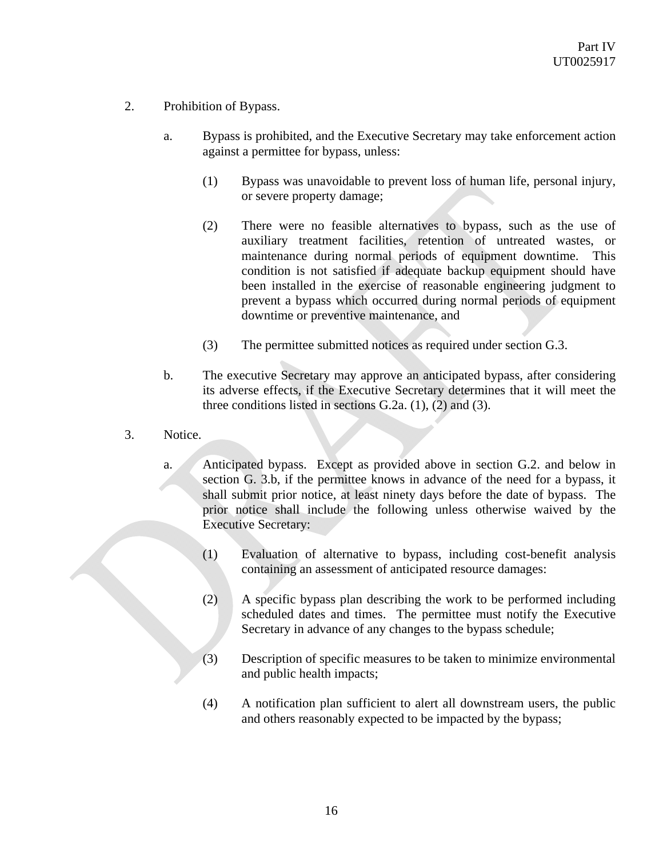- 2. Prohibition of Bypass.
	- a. Bypass is prohibited, and the Executive Secretary may take enforcement action against a permittee for bypass, unless:
		- (1) Bypass was unavoidable to prevent loss of human life, personal injury, or severe property damage;
		- (2) There were no feasible alternatives to bypass, such as the use of auxiliary treatment facilities, retention of untreated wastes, or maintenance during normal periods of equipment downtime. This condition is not satisfied if adequate backup equipment should have been installed in the exercise of reasonable engineering judgment to prevent a bypass which occurred during normal periods of equipment downtime or preventive maintenance, and
		- (3) The permittee submitted notices as required under section G.3.
	- b. The executive Secretary may approve an anticipated bypass, after considering its adverse effects, if the Executive Secretary determines that it will meet the three conditions listed in sections  $G.2a$ . (1), (2) and (3).
- 3. Notice.
	- a. Anticipated bypass. Except as provided above in section G.2. and below in section G. 3.b, if the permittee knows in advance of the need for a bypass, it shall submit prior notice, at least ninety days before the date of bypass. The prior notice shall include the following unless otherwise waived by the Executive Secretary:
		- (1) Evaluation of alternative to bypass, including cost-benefit analysis containing an assessment of anticipated resource damages:
		- (2) A specific bypass plan describing the work to be performed including scheduled dates and times. The permittee must notify the Executive Secretary in advance of any changes to the bypass schedule;
		- (3) Description of specific measures to be taken to minimize environmental and public health impacts;
		- (4) A notification plan sufficient to alert all downstream users, the public and others reasonably expected to be impacted by the bypass;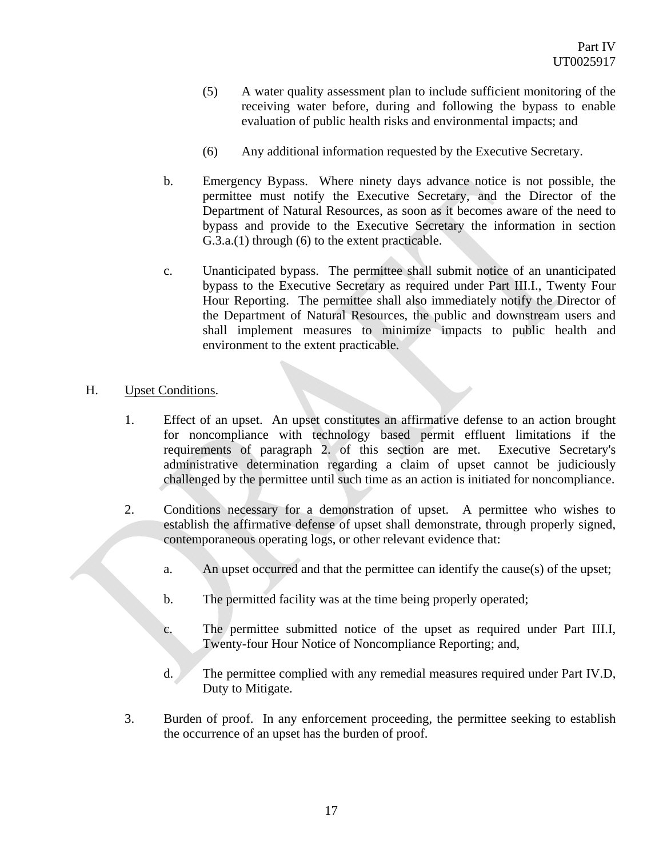- (5) A water quality assessment plan to include sufficient monitoring of the receiving water before, during and following the bypass to enable evaluation of public health risks and environmental impacts; and
- (6) Any additional information requested by the Executive Secretary.
- b. Emergency Bypass. Where ninety days advance notice is not possible, the permittee must notify the Executive Secretary, and the Director of the Department of Natural Resources, as soon as it becomes aware of the need to bypass and provide to the Executive Secretary the information in section G.3.a.(1) through (6) to the extent practicable.
- c. Unanticipated bypass. The permittee shall submit notice of an unanticipated bypass to the Executive Secretary as required under Part III.I., Twenty Four Hour Reporting. The permittee shall also immediately notify the Director of the Department of Natural Resources, the public and downstream users and shall implement measures to minimize impacts to public health and environment to the extent practicable.

# H. Upset Conditions.

- 1. Effect of an upset. An upset constitutes an affirmative defense to an action brought for noncompliance with technology based permit effluent limitations if the requirements of paragraph 2. of this section are met. Executive Secretary's administrative determination regarding a claim of upset cannot be judiciously challenged by the permittee until such time as an action is initiated for noncompliance.
- 2. Conditions necessary for a demonstration of upset. A permittee who wishes to establish the affirmative defense of upset shall demonstrate, through properly signed, contemporaneous operating logs, or other relevant evidence that:
	- a. An upset occurred and that the permittee can identify the cause(s) of the upset;
	- b. The permitted facility was at the time being properly operated;
	- c. The permittee submitted notice of the upset as required under Part III.I, Twenty-four Hour Notice of Noncompliance Reporting; and,
	- d. The permittee complied with any remedial measures required under Part IV.D, Duty to Mitigate.
- 3. Burden of proof. In any enforcement proceeding, the permittee seeking to establish the occurrence of an upset has the burden of proof.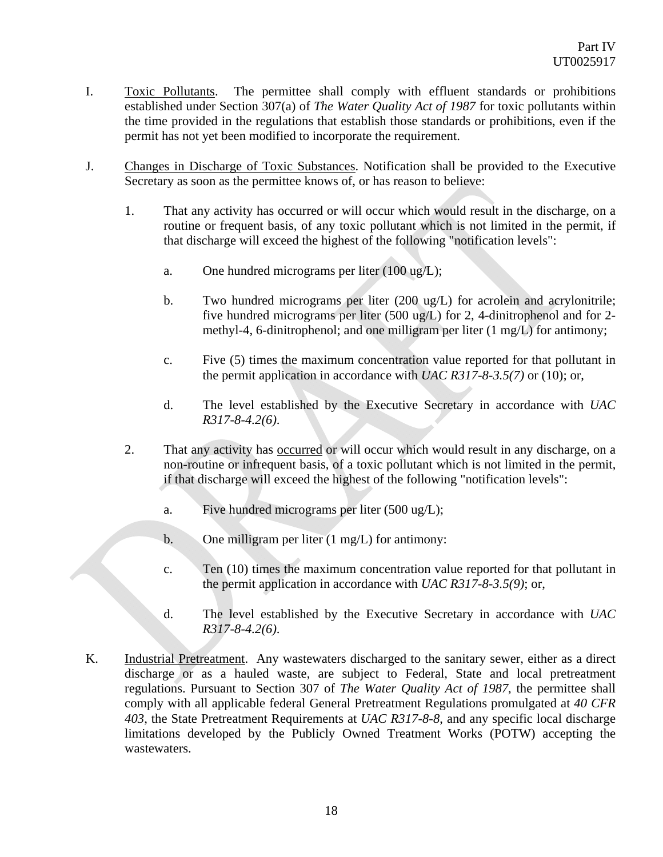- I. Toxic Pollutants. The permittee shall comply with effluent standards or prohibitions established under Section 307(a) of *The Water Quality Act of 1987* for toxic pollutants within the time provided in the regulations that establish those standards or prohibitions, even if the permit has not yet been modified to incorporate the requirement.
- J. Changes in Discharge of Toxic Substances. Notification shall be provided to the Executive Secretary as soon as the permittee knows of, or has reason to believe:
	- 1. That any activity has occurred or will occur which would result in the discharge, on a routine or frequent basis, of any toxic pollutant which is not limited in the permit, if that discharge will exceed the highest of the following "notification levels":
		- a. One hundred micrograms per liter (100 ug/L);
		- b. Two hundred micrograms per liter (200 ug/L) for acrolein and acrylonitrile; five hundred micrograms per liter (500 ug/L) for 2, 4-dinitrophenol and for 2 methyl-4, 6-dinitrophenol; and one milligram per liter (1 mg/L) for antimony;
		- c. Five (5) times the maximum concentration value reported for that pollutant in the permit application in accordance with *UAC R317-8-3.5(7)* or (10); or,
		- d. The level established by the Executive Secretary in accordance with *UAC R317-8-4.2(6)*.
	- 2. That any activity has occurred or will occur which would result in any discharge, on a non-routine or infrequent basis, of a toxic pollutant which is not limited in the permit, if that discharge will exceed the highest of the following "notification levels":
		- a. Five hundred micrograms per liter (500 ug/L);
		- b. One milligram per liter (1 mg/L) for antimony:
		- c. Ten (10) times the maximum concentration value reported for that pollutant in the permit application in accordance with *UAC R317-8-3.5(9)*; or,
		- d. The level established by the Executive Secretary in accordance with *UAC R317-8-4.2(6)*.
- K. Industrial Pretreatment. Any wastewaters discharged to the sanitary sewer, either as a direct discharge or as a hauled waste, are subject to Federal, State and local pretreatment regulations. Pursuant to Section 307 of *The Water Quality Act of 1987*, the permittee shall comply with all applicable federal General Pretreatment Regulations promulgated at *40 CFR 403*, the State Pretreatment Requirements at *UAC R317-8-8*, and any specific local discharge limitations developed by the Publicly Owned Treatment Works (POTW) accepting the wastewaters.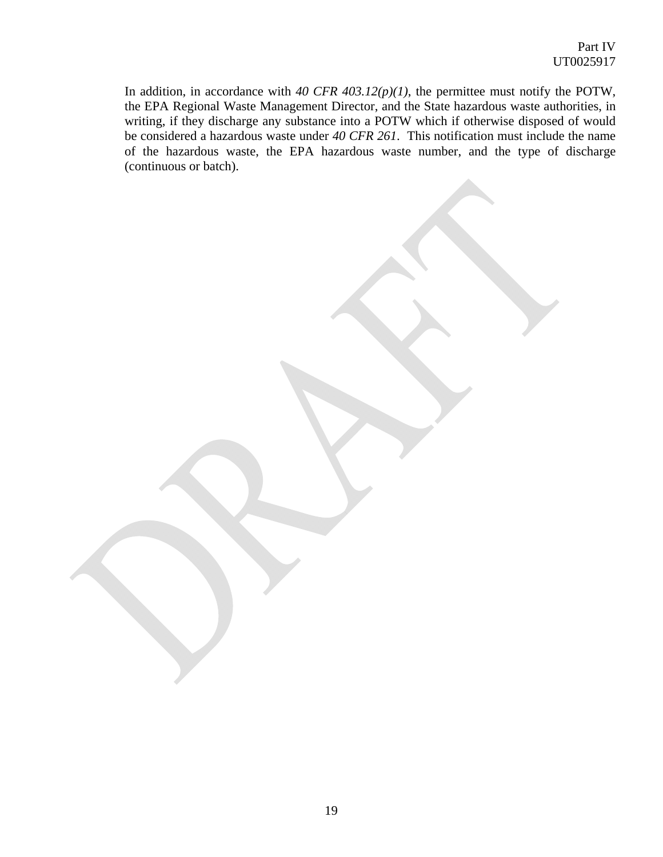In addition, in accordance with  $40 \text{ CFR } 403.12(p)(1)$ , the permittee must notify the POTW, the EPA Regional Waste Management Director, and the State hazardous waste authorities, in writing, if they discharge any substance into a POTW which if otherwise disposed of would be considered a hazardous waste under *40 CFR 261*. This notification must include the name of the hazardous waste, the EPA hazardous waste number, and the type of discharge (continuous or batch).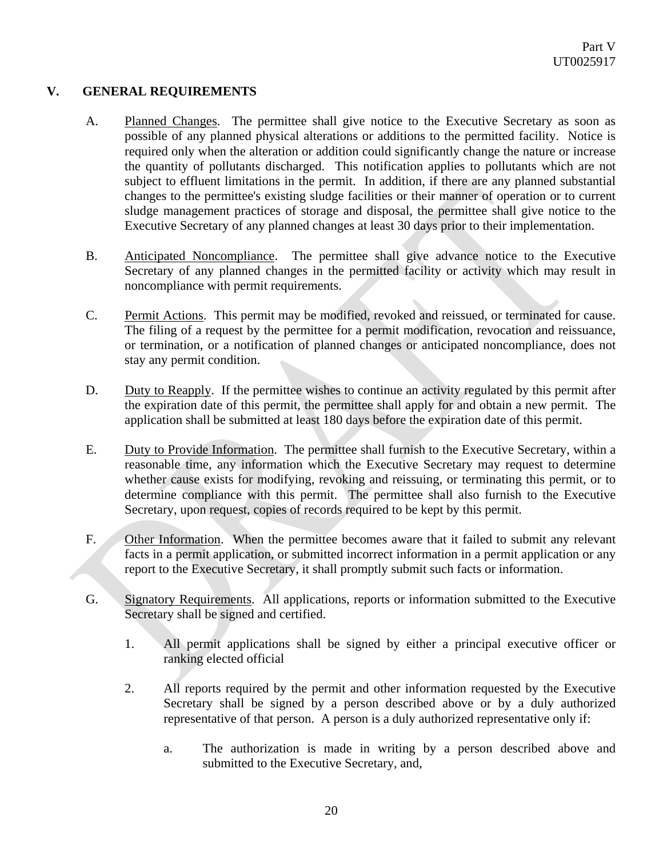# **V. GENERAL REQUIREMENTS**

- A. Planned Changes. The permittee shall give notice to the Executive Secretary as soon as possible of any planned physical alterations or additions to the permitted facility. Notice is required only when the alteration or addition could significantly change the nature or increase the quantity of pollutants discharged. This notification applies to pollutants which are not subject to effluent limitations in the permit. In addition, if there are any planned substantial changes to the permittee's existing sludge facilities or their manner of operation or to current sludge management practices of storage and disposal, the permittee shall give notice to the Executive Secretary of any planned changes at least 30 days prior to their implementation.
- B. Anticipated Noncompliance. The permittee shall give advance notice to the Executive Secretary of any planned changes in the permitted facility or activity which may result in noncompliance with permit requirements.
- C. Permit Actions. This permit may be modified, revoked and reissued, or terminated for cause. The filing of a request by the permittee for a permit modification, revocation and reissuance, or termination, or a notification of planned changes or anticipated noncompliance, does not stay any permit condition.
- D. Duty to Reapply. If the permittee wishes to continue an activity regulated by this permit after the expiration date of this permit, the permittee shall apply for and obtain a new permit. The application shall be submitted at least 180 days before the expiration date of this permit.
- E. Duty to Provide Information. The permittee shall furnish to the Executive Secretary, within a reasonable time, any information which the Executive Secretary may request to determine whether cause exists for modifying, revoking and reissuing, or terminating this permit, or to determine compliance with this permit. The permittee shall also furnish to the Executive Secretary, upon request, copies of records required to be kept by this permit.
- F. Other Information. When the permittee becomes aware that it failed to submit any relevant facts in a permit application, or submitted incorrect information in a permit application or any report to the Executive Secretary, it shall promptly submit such facts or information.
- G. Signatory Requirements. All applications, reports or information submitted to the Executive Secretary shall be signed and certified.
	- 1. All permit applications shall be signed by either a principal executive officer or ranking elected official
	- 2. All reports required by the permit and other information requested by the Executive Secretary shall be signed by a person described above or by a duly authorized representative of that person. A person is a duly authorized representative only if:
		- a. The authorization is made in writing by a person described above and submitted to the Executive Secretary, and,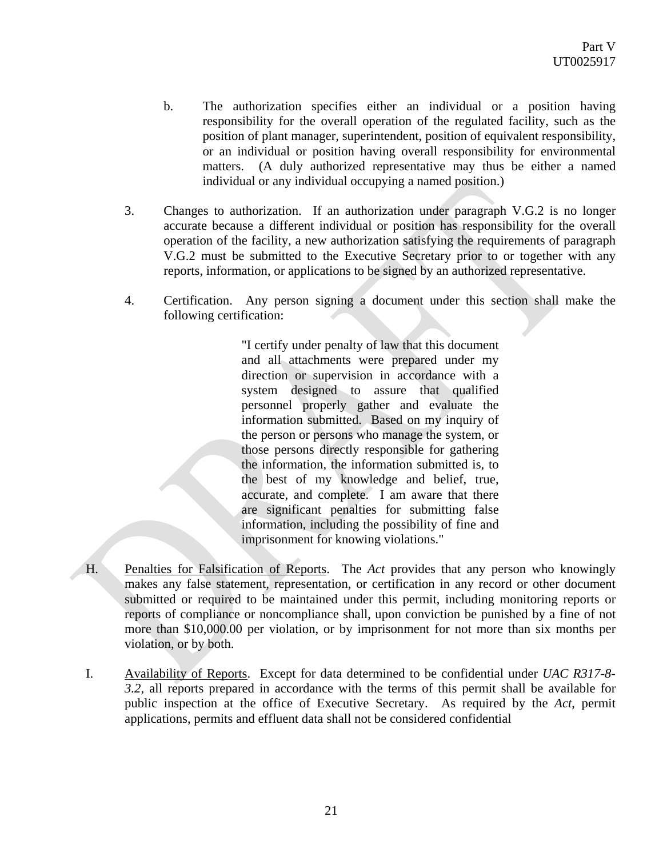- b. The authorization specifies either an individual or a position having responsibility for the overall operation of the regulated facility, such as the position of plant manager, superintendent, position of equivalent responsibility, or an individual or position having overall responsibility for environmental matters. (A duly authorized representative may thus be either a named individual or any individual occupying a named position.)
- 3. Changes to authorization. If an authorization under paragraph V.G.2 is no longer accurate because a different individual or position has responsibility for the overall operation of the facility, a new authorization satisfying the requirements of paragraph V.G.2 must be submitted to the Executive Secretary prior to or together with any reports, information, or applications to be signed by an authorized representative.
- 4. Certification. Any person signing a document under this section shall make the following certification:

 "I certify under penalty of law that this document and all attachments were prepared under my direction or supervision in accordance with a system designed to assure that qualified personnel properly gather and evaluate the information submitted. Based on my inquiry of the person or persons who manage the system, or those persons directly responsible for gathering the information, the information submitted is, to the best of my knowledge and belief, true, accurate, and complete. I am aware that there are significant penalties for submitting false information, including the possibility of fine and imprisonment for knowing violations."

- H. Penalties for Falsification of Reports. The *Act* provides that any person who knowingly makes any false statement, representation, or certification in any record or other document submitted or required to be maintained under this permit, including monitoring reports or reports of compliance or noncompliance shall, upon conviction be punished by a fine of not more than \$10,000.00 per violation, or by imprisonment for not more than six months per violation, or by both.
- I. Availability of Reports. Except for data determined to be confidential under *UAC R317-8- 3.2*, all reports prepared in accordance with the terms of this permit shall be available for public inspection at the office of Executive Secretary. As required by the *Act*, permit applications, permits and effluent data shall not be considered confidential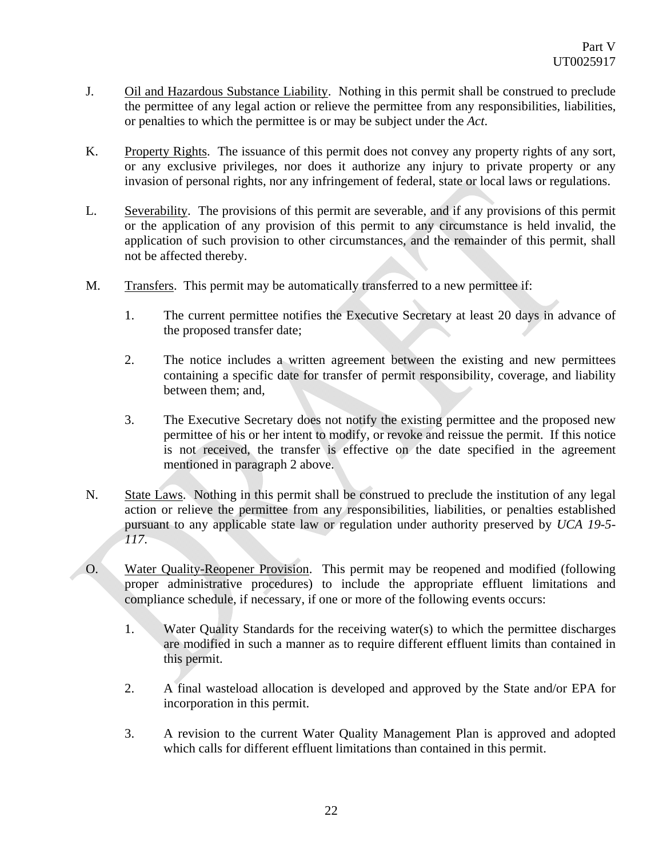- J. Oil and Hazardous Substance Liability. Nothing in this permit shall be construed to preclude the permittee of any legal action or relieve the permittee from any responsibilities, liabilities, or penalties to which the permittee is or may be subject under the *Act*.
- K. Property Rights. The issuance of this permit does not convey any property rights of any sort, or any exclusive privileges, nor does it authorize any injury to private property or any invasion of personal rights, nor any infringement of federal, state or local laws or regulations.
- L. Severability. The provisions of this permit are severable, and if any provisions of this permit or the application of any provision of this permit to any circumstance is held invalid, the application of such provision to other circumstances, and the remainder of this permit, shall not be affected thereby.
- M. Transfers. This permit may be automatically transferred to a new permittee if:
	- 1. The current permittee notifies the Executive Secretary at least 20 days in advance of the proposed transfer date;
	- 2. The notice includes a written agreement between the existing and new permittees containing a specific date for transfer of permit responsibility, coverage, and liability between them; and,
	- 3. The Executive Secretary does not notify the existing permittee and the proposed new permittee of his or her intent to modify, or revoke and reissue the permit. If this notice is not received, the transfer is effective on the date specified in the agreement mentioned in paragraph 2 above.
- N. State Laws. Nothing in this permit shall be construed to preclude the institution of any legal action or relieve the permittee from any responsibilities, liabilities, or penalties established pursuant to any applicable state law or regulation under authority preserved by *UCA 19-5- 117*.
- O. Water Quality-Reopener Provision. This permit may be reopened and modified (following proper administrative procedures) to include the appropriate effluent limitations and compliance schedule, if necessary, if one or more of the following events occurs:
	- 1. Water Quality Standards for the receiving water(s) to which the permittee discharges are modified in such a manner as to require different effluent limits than contained in this permit.
	- 2. A final wasteload allocation is developed and approved by the State and/or EPA for incorporation in this permit.
	- 3. A revision to the current Water Quality Management Plan is approved and adopted which calls for different effluent limitations than contained in this permit.